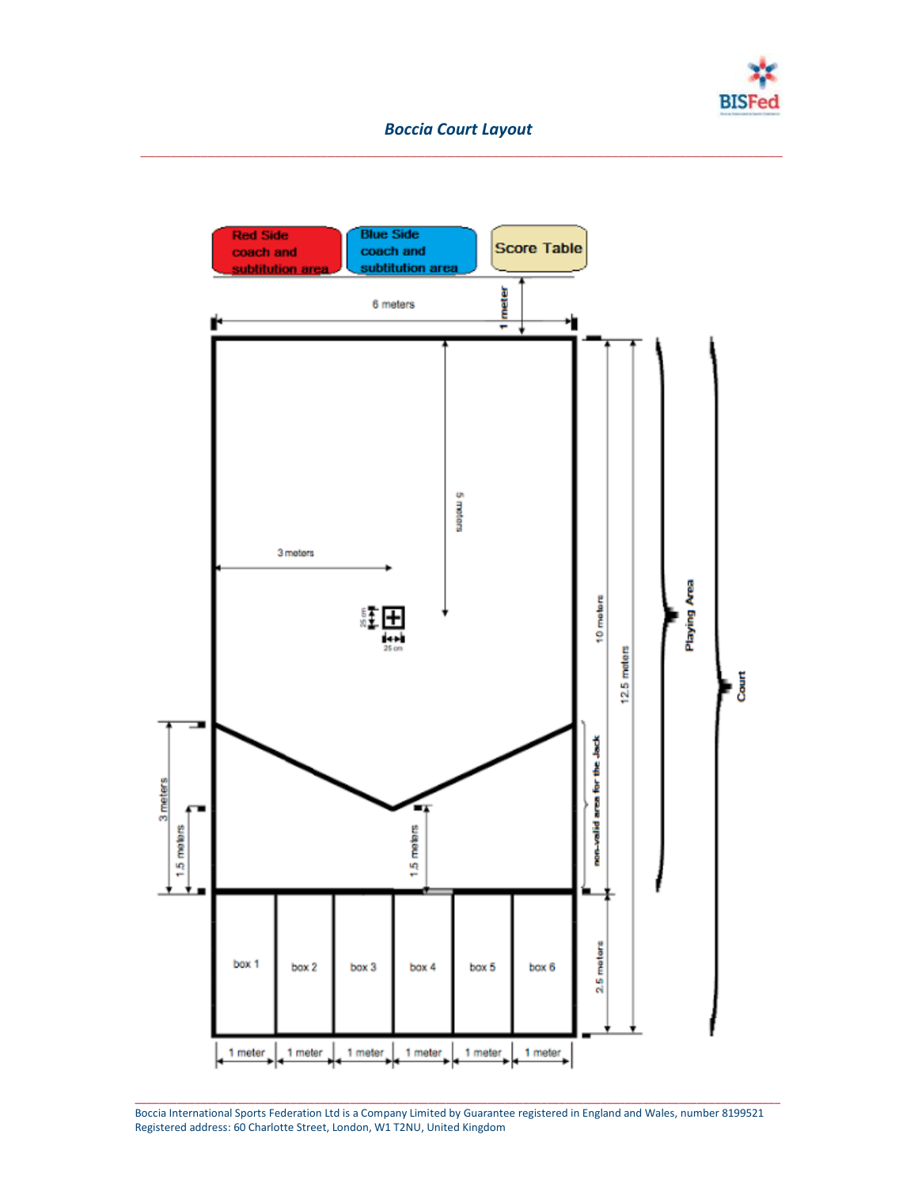

*Boccia Court Layout* \_\_\_\_\_\_\_\_\_\_\_\_\_\_\_\_\_\_\_\_\_\_\_\_\_\_\_\_\_\_\_\_\_\_\_\_\_\_\_\_\_\_\_\_\_\_\_\_\_\_\_\_\_\_\_\_\_\_\_\_\_\_\_\_\_\_\_\_\_\_\_\_\_\_\_\_\_\_\_\_\_\_\_\_\_\_